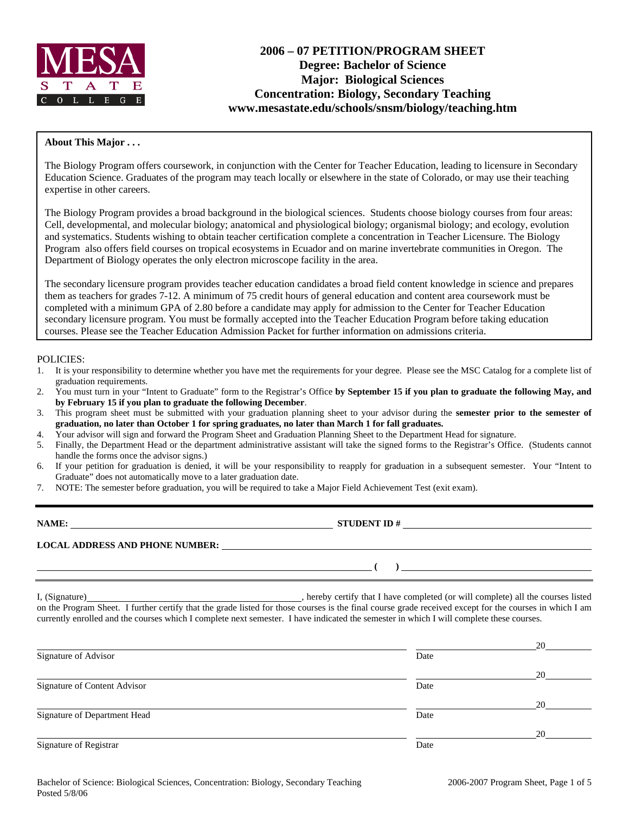

# **2006 – 07 PETITION/PROGRAM SHEET Degree: Bachelor of Science Major: Biological Sciences Concentration: Biology, Secondary Teaching www.mesastate.edu/schools/snsm/biology/teaching.htm**

#### **About This Major . . .**

The Biology Program offers coursework, in conjunction with the Center for Teacher Education, leading to licensure in Secondary Education Science. Graduates of the program may teach locally or elsewhere in the state of Colorado, or may use their teaching expertise in other careers.

The Biology Program provides a broad background in the biological sciences. Students choose biology courses from four areas: Cell, developmental, and molecular biology; anatomical and physiological biology; organismal biology; and ecology, evolution and systematics. Students wishing to obtain teacher certification complete a concentration in Teacher Licensure. The Biology Program also offers field courses on tropical ecosystems in Ecuador and on marine invertebrate communities in Oregon. The Department of Biology operates the only electron microscope facility in the area.

The secondary licensure program provides teacher education candidates a broad field content knowledge in science and prepares them as teachers for grades 7-12. A minimum of 75 credit hours of general education and content area coursework must be completed with a minimum GPA of 2.80 before a candidate may apply for admission to the Center for Teacher Education secondary licensure program. You must be formally accepted into the Teacher Education Program before taking education courses. Please see the Teacher Education Admission Packet for further information on admissions criteria.

#### POLICIES:

- 1. It is your responsibility to determine whether you have met the requirements for your degree. Please see the MSC Catalog for a complete list of graduation requirements.
- 2. You must turn in your "Intent to Graduate" form to the Registrar's Office **by September 15 if you plan to graduate the following May, and by February 15 if you plan to graduate the following December**.
- 3. This program sheet must be submitted with your graduation planning sheet to your advisor during the **semester prior to the semester of graduation, no later than October 1 for spring graduates, no later than March 1 for fall graduates.**
- 4. Your advisor will sign and forward the Program Sheet and Graduation Planning Sheet to the Department Head for signature.
- 5. Finally, the Department Head or the department administrative assistant will take the signed forms to the Registrar's Office. (Students cannot handle the forms once the advisor signs.)
- 6. If your petition for graduation is denied, it will be your responsibility to reapply for graduation in a subsequent semester. Your "Intent to Graduate" does not automatically move to a later graduation date.
- 7. NOTE: The semester before graduation, you will be required to take a Major Field Achievement Test (exit exam).

| NAME:                                  | <b>STUDENT ID#</b> |
|----------------------------------------|--------------------|
| <b>LOCAL ADDRESS AND PHONE NUMBER:</b> |                    |
|                                        |                    |

I, (Signature) , hereby certify that I have completed (or will complete) all the courses listed on the Program Sheet. I further certify that the grade listed for those courses is the final course grade received except for the courses in which I am currently enrolled and the courses which I complete next semester. I have indicated the semester in which I will complete these courses.

|                              |      | 20 |
|------------------------------|------|----|
| Signature of Advisor         | Date |    |
|                              |      | 20 |
| Signature of Content Advisor | Date |    |
|                              |      | 20 |
| Signature of Department Head | Date |    |
|                              |      | 20 |
| Signature of Registrar       | Date |    |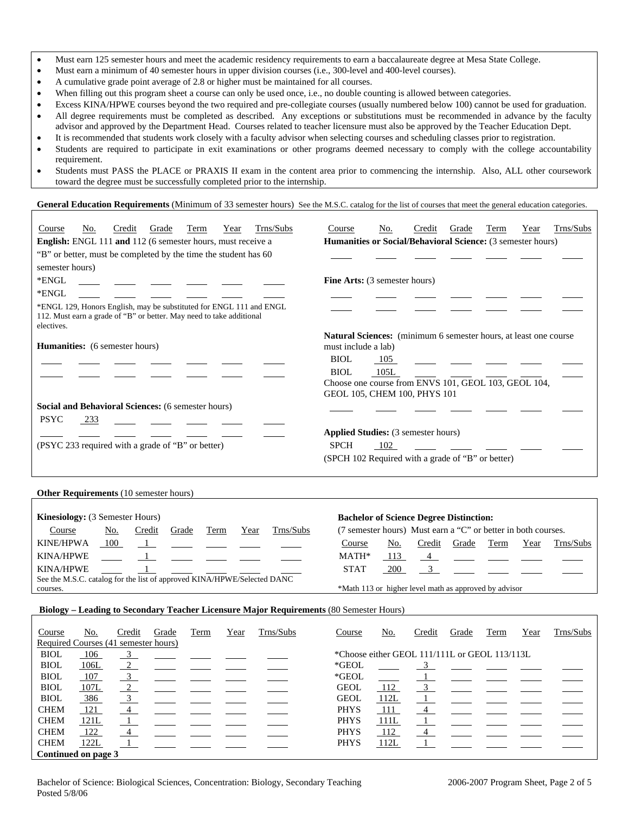- Must earn 125 semester hours and meet the academic residency requirements to earn a baccalaureate degree at Mesa State College.
- Must earn a minimum of 40 semester hours in upper division courses (i.e., 300-level and 400-level courses).
- A cumulative grade point average of 2.8 or higher must be maintained for all courses.
- When filling out this program sheet a course can only be used once, i.e., no double counting is allowed between categories.
- Excess KINA/HPWE courses beyond the two required and pre-collegiate courses (usually numbered below 100) cannot be used for graduation. • All degree requirements must be completed as described. Any exceptions or substitutions must be recommended in advance by the faculty advisor and approved by the Department Head. Courses related to teacher licensure must also be approved by the Teacher Education Dept.
- It is recommended that students work closely with a faculty advisor when selecting courses and scheduling classes prior to registration.
- Students are required to participate in exit examinations or other programs deemed necessary to comply with the college accountability requirement.
- Students must PASS the PLACE or PRAXIS II exam in the content area prior to commencing the internship. Also, ALL other coursework toward the degree must be successfully completed prior to the internship.

General Education Requirements (Minimum of 33 semester hours) See the M.S.C. catalog for the list of courses that meet the general education categories.

| Trns/Subs<br>Credit<br>Grade<br><b>Term</b><br>Year<br>Course<br>No.<br>English: ENGL 111 and 112 (6 semester hours, must receive a<br>"B" or better, must be completed by the time the student has 60<br>semester hours) | Trns/Subs<br>No.<br>Credit<br>Grade<br>Term<br>Year<br>Course<br>Humanities or Social/Behavioral Science: (3 semester hours) |  |  |  |  |
|---------------------------------------------------------------------------------------------------------------------------------------------------------------------------------------------------------------------------|------------------------------------------------------------------------------------------------------------------------------|--|--|--|--|
| *ENGL                                                                                                                                                                                                                     | Fine Arts: (3 semester hours)                                                                                                |  |  |  |  |
| *ENGL                                                                                                                                                                                                                     |                                                                                                                              |  |  |  |  |
| *ENGL 129, Honors English, may be substituted for ENGL 111 and ENGL<br>112. Must earn a grade of "B" or better. May need to take additional<br>electives.                                                                 |                                                                                                                              |  |  |  |  |
| <b>Humanities:</b> (6 semester hours)                                                                                                                                                                                     | Natural Sciences: (minimum 6 semester hours, at least one course<br>must include a lab)                                      |  |  |  |  |
|                                                                                                                                                                                                                           | <b>BIOL</b><br>105                                                                                                           |  |  |  |  |
|                                                                                                                                                                                                                           | 105L<br><b>BIOL</b><br>Choose one course from ENVS 101, GEOL 103, GEOL 104,<br>GEOL 105, CHEM 100, PHYS 101                  |  |  |  |  |
| Social and Behavioral Sciences: (6 semester hours)                                                                                                                                                                        |                                                                                                                              |  |  |  |  |
| <b>PSYC</b><br>233                                                                                                                                                                                                        |                                                                                                                              |  |  |  |  |
|                                                                                                                                                                                                                           | Applied Studies: (3 semester hours)                                                                                          |  |  |  |  |
| (PSYC 233 required with a grade of "B" or better)                                                                                                                                                                         | <b>SPCH</b><br>102                                                                                                           |  |  |  |  |
|                                                                                                                                                                                                                           | (SPCH 102 Required with a grade of "B" or better)                                                                            |  |  |  |  |
| Other Requirements (10 semester hours)                                                                                                                                                                                    |                                                                                                                              |  |  |  |  |
| Kinesiology: (3 Semester Hours)                                                                                                                                                                                           | <b>Bachelor of Science Degree Distinction:</b>                                                                               |  |  |  |  |
| Trns/Subs<br>Year<br>Course<br>No.<br>Credit<br>Grade<br>Term                                                                                                                                                             | (7 semester hours) Must earn a "C" or better in both courses.                                                                |  |  |  |  |
| <b>KINE/HPWA</b><br>100<br>$\overline{1}$                                                                                                                                                                                 | Term<br>Trns/Subs<br>Course<br>No.<br>Credit<br>Grade<br>Year                                                                |  |  |  |  |
| <b>KINA/HPWE</b><br>1                                                                                                                                                                                                     | MATH*<br>113<br>$\overline{4}$                                                                                               |  |  |  |  |
| <b>KINA/HPWE</b>                                                                                                                                                                                                          | <b>STAT</b><br>3 <sup>1</sup><br>200                                                                                         |  |  |  |  |
| See the M.S.C. catalog for the list of approved KINA/HPWE/Selected DANC<br>courses.                                                                                                                                       | *Math 113 or higher level math as approved by advisor                                                                        |  |  |  |  |
|                                                                                                                                                                                                                           |                                                                                                                              |  |  |  |  |
| Biology - Leading to Secondary Teacher Licensure Major Requirements (80 Semester Hours)                                                                                                                                   |                                                                                                                              |  |  |  |  |
| Trns/Subs<br>No.<br>Credit<br>Grade<br>Term<br>Year<br>Course<br>Required Courses (41 semester hours)                                                                                                                     | Trns/Subs<br>Credit<br>Grade<br>Term<br>Course<br>No.<br>Year                                                                |  |  |  |  |

| Course              | 110.                                 | <b>ULCUIL</b>  | <b>State</b> | 1 U.H | t vai | 111370000 | Course                                        | 110.       | <b>CICUIL</b> | <b>State</b> | 1 U.H. | a vai | <b>THIS DUDS</b> |
|---------------------|--------------------------------------|----------------|--------------|-------|-------|-----------|-----------------------------------------------|------------|---------------|--------------|--------|-------|------------------|
|                     | Required Courses (41 semester hours) |                |              |       |       |           |                                               |            |               |              |        |       |                  |
| <b>BIOL</b>         | <u>106</u>                           |                |              |       |       |           | *Choose either GEOL 111/111L or GEOL 113/113L |            |               |              |        |       |                  |
| <b>BIOL</b>         | <u>106L</u>                          |                |              |       |       |           | $*GEOL$                                       |            |               |              |        |       |                  |
| <b>BIOL</b>         | 107                                  |                |              |       |       |           | *GEOL                                         |            |               |              |        |       |                  |
| <b>BIOL</b>         | 107L                                 | $\overline{2}$ |              |       |       |           | <b>GEOL</b>                                   | 112        |               |              |        |       |                  |
| <b>BIOL</b>         | 386                                  |                |              |       |       |           | <b>GEOL</b>                                   | 112L       |               |              |        |       |                  |
| <b>CHEM</b>         | 121                                  | 4              |              |       |       |           | <b>PHYS</b>                                   | -111       |               |              |        |       |                  |
| <b>CHEM</b>         | 121L                                 |                |              |       |       |           | <b>PHYS</b>                                   | 111L       |               |              |        |       |                  |
| <b>CHEM</b>         | <u>122</u>                           |                |              |       |       |           | <b>PHYS</b>                                   | <u>112</u> |               |              |        |       |                  |
| <b>CHEM</b>         | 122L                                 |                |              |       |       |           | <b>PHYS</b>                                   | 112L       |               |              |        |       |                  |
| Continued on page 3 |                                      |                |              |       |       |           |                                               |            |               |              |        |       |                  |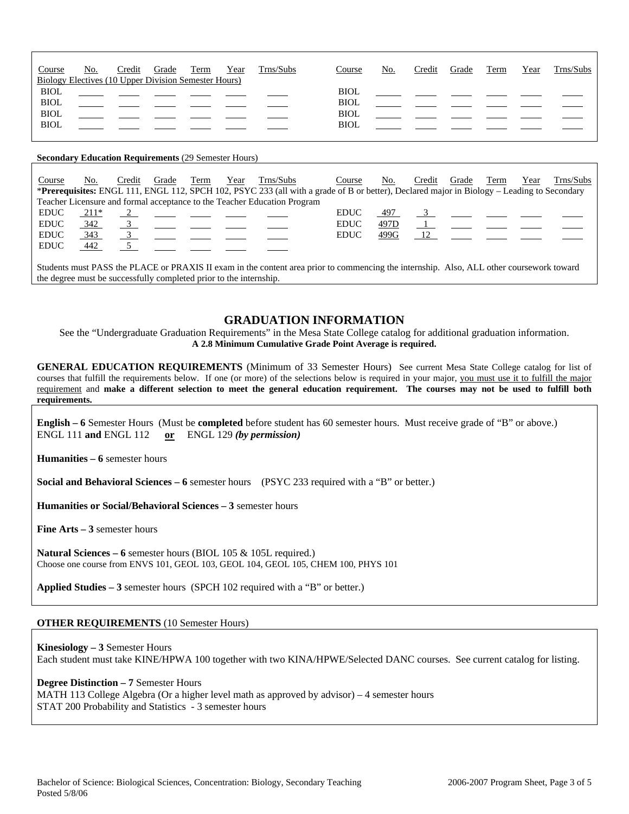| No.<br>Course<br><b>Biology Electives (10 Upper Division Semester Hours)</b> | Credit | Grade | Term<br>Year | Trns/Subs | Course                                                   | No. | Credit | Grade | Term | Year | Trns/Subs |
|------------------------------------------------------------------------------|--------|-------|--------------|-----------|----------------------------------------------------------|-----|--------|-------|------|------|-----------|
| <b>BIOL</b><br><b>BIOL</b><br><b>BIOL</b><br><b>BIOL</b>                     |        |       |              |           | <b>BIOL</b><br><b>BIOL</b><br><b>BIOL</b><br><b>BIOL</b> |     |        |       |      |      |           |

#### **Secondary Education Requirements** (29 Semester Hours)

| Course      | No.    | Credit | Grade    | Term | Year | Trns/Subs                                                                | Course<br>*Prerequisites: ENGL 111, ENGL 112, SPCH 102, PSYC 233 (all with a grade of B or better), Declared major in Biology - Leading to Secondary | No.  | Credit | Grade | Ferm | Year | Trns/Subs |
|-------------|--------|--------|----------|------|------|--------------------------------------------------------------------------|------------------------------------------------------------------------------------------------------------------------------------------------------|------|--------|-------|------|------|-----------|
|             |        |        |          |      |      |                                                                          |                                                                                                                                                      |      |        |       |      |      |           |
|             |        |        |          |      |      | Teacher Licensure and formal acceptance to the Teacher Education Program |                                                                                                                                                      |      |        |       |      |      |           |
| <b>EDUC</b> | $211*$ |        | $\sim$ 2 |      |      |                                                                          | <b>EDUC</b>                                                                                                                                          | 497  |        |       |      |      |           |
| <b>EDUC</b> | 342    |        |          |      |      |                                                                          | <b>EDUC</b>                                                                                                                                          | 497D |        |       |      |      |           |
| <b>EDUC</b> | 343    |        |          |      |      |                                                                          | <b>EDUC</b>                                                                                                                                          | 499G |        |       |      |      |           |
| <b>EDUC</b> | 442    |        |          |      |      |                                                                          |                                                                                                                                                      |      |        |       |      |      |           |
|             |        |        |          |      |      |                                                                          |                                                                                                                                                      |      |        |       |      |      |           |

Students must PASS the PLACE or PRAXIS II exam in the content area prior to commencing the internship. Also, ALL other coursework toward the degree must be successfully completed prior to the internship.

### **GRADUATION INFORMATION**

See the "Undergraduate Graduation Requirements" in the Mesa State College catalog for additional graduation information. **A 2.8 Minimum Cumulative Grade Point Average is required.**

**GENERAL EDUCATION REQUIREMENTS** (Minimum of 33 Semester Hours) See current Mesa State College catalog for list of courses that fulfill the requirements below. If one (or more) of the selections below is required in your major, you must use it to fulfill the major requirement and **make a different selection to meet the general education requirement. The courses may not be used to fulfill both requirements.**

**English – 6** Semester Hours (Must be **completed** before student has 60 semester hours. Must receive grade of "B" or above.) ENGL 111 **and** ENGL 112 **or** ENGL 129 *(by permission)*

**Humanities – 6** semester hours

**Social and Behavioral Sciences – 6** semester hours (PSYC 233 required with a "B" or better.)

**Humanities or Social/Behavioral Sciences – 3** semester hours

**Fine Arts – 3** semester hours

**Natural Sciences – 6** semester hours (BIOL 105 & 105L required.) Choose one course from ENVS 101, GEOL 103, GEOL 104, GEOL 105, CHEM 100, PHYS 101

**Applied Studies – 3** semester hours (SPCH 102 required with a "B" or better.)

#### **OTHER REQUIREMENTS** (10 Semester Hours)

**Kinesiology – 3** Semester Hours Each student must take KINE/HPWA 100 together with two KINA/HPWE/Selected DANC courses. See current catalog for listing.

### **Degree Distinction – 7** Semester Hours

MATH 113 College Algebra (Or a higher level math as approved by advisor) – 4 semester hours STAT 200 Probability and Statistics - 3 semester hours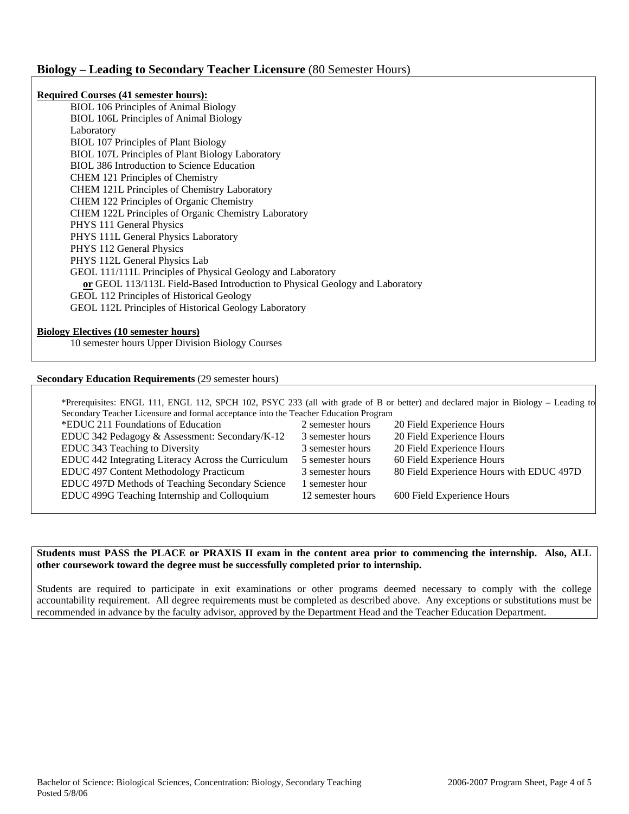## **Biology – Leading to Secondary Teacher Licensure** (80 Semester Hours)

| <b>Required Courses (41 semester hours):</b>                                 |  |
|------------------------------------------------------------------------------|--|
| BIOL 106 Principles of Animal Biology                                        |  |
| <b>BIOL 106L Principles of Animal Biology</b>                                |  |
| Laboratory                                                                   |  |
| <b>BIOL 107 Principles of Plant Biology</b>                                  |  |
| BIOL 107L Principles of Plant Biology Laboratory                             |  |
| <b>BIOL 386 Introduction to Science Education</b>                            |  |
| <b>CHEM 121 Principles of Chemistry</b>                                      |  |
| <b>CHEM 121L Principles of Chemistry Laboratory</b>                          |  |
| CHEM 122 Principles of Organic Chemistry                                     |  |
| CHEM 122L Principles of Organic Chemistry Laboratory                         |  |
| PHYS 111 General Physics                                                     |  |
| PHYS 111L General Physics Laboratory                                         |  |
| PHYS 112 General Physics                                                     |  |
| PHYS 112L General Physics Lab                                                |  |
| GEOL 111/111L Principles of Physical Geology and Laboratory                  |  |
| or GEOL 113/113L Field-Based Introduction to Physical Geology and Laboratory |  |
| GEOL 112 Principles of Historical Geology                                    |  |
| GEOL 112L Principles of Historical Geology Laboratory                        |  |
|                                                                              |  |

# **Biology Electives (10 semester hours)**

10 semester hours Upper Division Biology Courses

### **Secondary Education Requirements** (29 semester hours)

|                                                                                      | *Prerequisites: ENGL 111, ENGL 112, SPCH 102, PSYC 233 (all with grade of B or better) and declared major in Biology - Leading to |  |  |  |  |  |  |
|--------------------------------------------------------------------------------------|-----------------------------------------------------------------------------------------------------------------------------------|--|--|--|--|--|--|
| Secondary Teacher Licensure and formal acceptance into the Teacher Education Program |                                                                                                                                   |  |  |  |  |  |  |
| 2 semester hours                                                                     | 20 Field Experience Hours                                                                                                         |  |  |  |  |  |  |
| 3 semester hours                                                                     | 20 Field Experience Hours                                                                                                         |  |  |  |  |  |  |
| 3 semester hours                                                                     | 20 Field Experience Hours                                                                                                         |  |  |  |  |  |  |
| 5 semester hours                                                                     | 60 Field Experience Hours                                                                                                         |  |  |  |  |  |  |
| 3 semester hours                                                                     | 80 Field Experience Hours with EDUC 497D                                                                                          |  |  |  |  |  |  |
| l semester hour                                                                      |                                                                                                                                   |  |  |  |  |  |  |
| 12 semester hours                                                                    | 600 Field Experience Hours                                                                                                        |  |  |  |  |  |  |
|                                                                                      |                                                                                                                                   |  |  |  |  |  |  |

### **Students must PASS the PLACE or PRAXIS II exam in the content area prior to commencing the internship. Also, ALL other coursework toward the degree must be successfully completed prior to internship.**

Students are required to participate in exit examinations or other programs deemed necessary to comply with the college accountability requirement. All degree requirements must be completed as described above. Any exceptions or substitutions must be recommended in advance by the faculty advisor, approved by the Department Head and the Teacher Education Department.